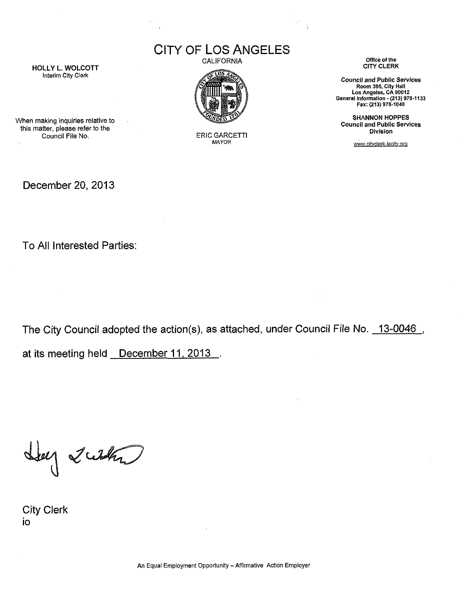**CITY OF LOS ANGELES** 



When making inquiries relative to this matter, please refer to the Council File No. ERIC GARCETTI



MAYOR

CALIFORNIA Office of the CALIFORNIA

*Council and* Public *Services* Room 395, City Hall Los Angeles, CA 90012 General Information - (213) 978-1133 Fax: (213) 978-1040

SHANNON HOPPES Council and Public Services Division

[www.dtvclerk.lacitv.orQ](http://www.dtvclerk.lacitv.orQ)

December 20, 2013

To All Interested Parties:

The City Council adopted the action(s), as attached, under Council File No. 13-0046,

at its meeting held December 11, 2013.

Lug 2 what

City Clerk io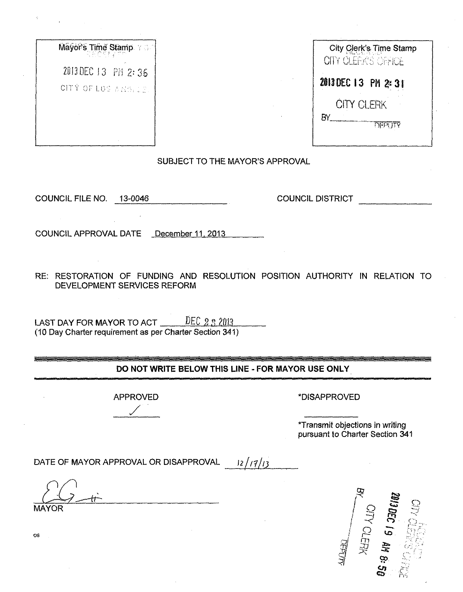| City Clerk's Time Sta<br>OITY CLEAKS CAPICE |
|---------------------------------------------|
| 2013 DEC 13 PM 2:31                         |
| <b>CITY CLERK</b>                           |
| F۱<br><b>DECTITY</b>                        |
|                                             |

| $\mathsf{Mayor}\, \mathsf{s}$ Time Stamp $\mathbb{R} \oplus \mathbb{R}$ | City Clerk's Time Stamp<br>OITY CLEAKS CARICE |
|-------------------------------------------------------------------------|-----------------------------------------------|
| 2013 DEC 13 PM 2:36<br>CITY OF LOS AREN 18.                             | 2013 DEC 13 PM 2:31                           |
|                                                                         | <b>CITY CLERK</b>                             |

SUBJECT TO THE MAYOR'S APPROVAL

COUNCIL FILE NO. 13-0046\_\_\_\_\_\_\_\_\_\_\_\_\_\_\_\_\_\_COUNCIL DISTRICT

COUNCIL APPROVAL DATE December 11, 2013

RE: RESTORATION OF FUNDING AND RESOLUTION POSITION AUTHORITY IN RELATION TO DEVELOPMENT SERVICES REFORM

LAST DAY FOR MAYOR TO ACT <u>DEC 2 3 2013</u> (10 Day Charter requirement as per Charter Section 341)

## **DO NOT WRITE BELOW THIS LINE - FOR MAYOR USE ONLY**

APPROVED 'DISAPPROVED

'Transmit objections in writing pursuant to Charter Section 341

DATE OF MAYOR APPROVAL OR DISAPPROVAL  $\frac{12}{14}$ 

MAYOR  $\frac{d\vec{r}}{dt}$ 



os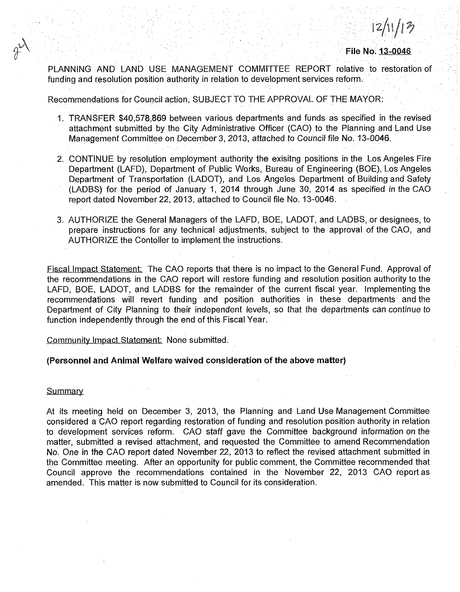$12/11/13$ 

**File No. 13-0046**

PLANNING AND LAND USE MANAGEMENT COMMITTEE REPORT relative to restoration of funding and resolution position authority in relation to development services reform.

Recommendations for Council action, SUBJECT TO THE APPROVAL OF THE MAYOR:

- 1. TRANSFER \$40,578,869 between various departments and funds as specified in the revised attachment submitted by the City Administrative Officer (CAO) to the Planning and Land Use Management Committee on December 3, 2013, attached to Council file No. 13-0046.
- 2. CONTINUE by resolution employment authority the exisitng positions in the Los Angeles Fire Department (LAFD), Department of Public Works, Bureau of Engineering (BOE), Los Angeles Department of Transportation (LADOT), and Los Angeles Department of Building and Safety (LADBS) for the period of January 1, 2014 through June 30, 2014 as specified in the CAO report dated November 22, 2013, attached to Council file No. 13-0046.
- 3. AUTHORIZE the General Managers of the LAFD, BOE, LADOT, and LADBS, or designees, to prepare instructions for any technical adjustments, subject to the approval of the CAO, and AUTHORIZE the Contoller to implement the instructions.

Fiscal Impact Statement: The CAO reports that there is no impact to the General Fund. Approval of the recommendations in the CAO report will restore funding and resolution position authority to the LAFD, BOE, LADOT, and LADBS for the remainder of the current fiscal year. Implementing the recommendations will revert funding and position authorities in these departments and the Department of City Planning to their independent levels, so that the departments can continue to function independently through the end of this Fiscal Year.

## Community Impact Statement: None submitted.

## **(Personnel and Animal Welfare waived consideration of the above matter)**

## **Summary**

At its meeting held on December 3, 2013, the Planning and Land Use Management Committee considered a CAO report regarding restoration of funding and resolution position authority in relation to development services reform. CAO staff gave the Committee background information on the matter, submitted a revised attachment, and requested the Committee to amend Recommendation No. One in the CAO report dated November 22, 2013 to reflect the revised attachment submitted in the Committee meeting. After an opportunity for public comment, the Committee recommended that Council approve the recommendations contained in the November 22, 2013 CAO report as amended. This matter is now submitted to Council for its consideration.